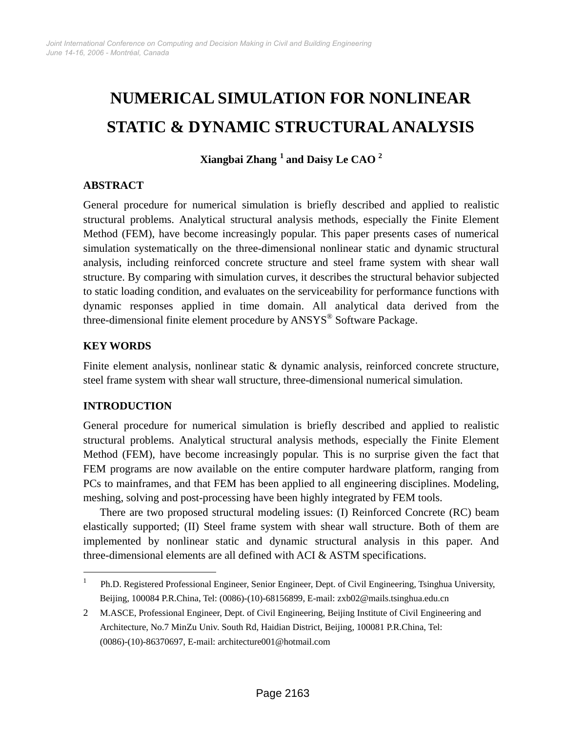# **NUMERICAL SIMULATION FOR NONLINEAR STATIC & DYNAMIC STRUCTURAL ANALYSIS**

**Xiangbai Zhang [1](#page-0-0) and Daisy Le CAO <sup>2</sup>**

# **ABSTRACT**

General procedure for numerical simulation is briefly described and applied to realistic structural problems. Analytical structural analysis methods, especially the Finite Element Method (FEM), have become increasingly popular. This paper presents cases of numerical simulation systematically on the three-dimensional nonlinear static and dynamic structural analysis, including reinforced concrete structure and steel frame system with shear wall structure. By comparing with simulation curves, it describes the structural behavior subjected to static loading condition, and evaluates on the serviceability for performance functions with dynamic responses applied in time domain. All analytical data derived from the three-dimensional finite element procedure by ANSYS® Software Package.

## **KEY WORDS**

Finite element analysis, nonlinear static & dynamic analysis, reinforced concrete structure, steel frame system with shear wall structure, three-dimensional numerical simulation.

# **INTRODUCTION**

 $\overline{a}$ 

General procedure for numerical simulation is briefly described and applied to realistic structural problems. Analytical structural analysis methods, especially the Finite Element Method (FEM), have become increasingly popular. This is no surprise given the fact that FEM programs are now available on the entire computer hardware platform, ranging from PCs to mainframes, and that FEM has been applied to all engineering disciplines. Modeling, meshing, solving and post-processing have been highly integrated by FEM tools.

There are two proposed structural modeling issues: (I) Reinforced Concrete (RC) beam elastically supported; (II) Steel frame system with shear wall structure. Both of them are implemented by nonlinear static and dynamic structural analysis in this paper. And three-dimensional elements are all defined with ACI & ASTM specifications.

<span id="page-0-0"></span><sup>1</sup> Ph.D. Registered Professional Engineer, Senior Engineer, Dept. of Civil Engineering, Tsinghua University, Beijing, 100084 P.R.China, Tel: (0086)-(10)-68156899, E-mail: [zxb02@mails.tsinghua.edu.cn](mailto:zxb02@mails.tsinghua.edu.cn)

<sup>2</sup> M.ASCE, Professional Engineer, Dept. of Civil Engineering, Beijing Institute of Civil Engineering and Architecture, No.7 MinZu Univ. South Rd, Haidian District, Beijing, 100081 P.R.China, Tel: (0086)-(10)-86370697, E-mail: [architecture001@hotmail.com](mailto:architecture001@hotmail.com)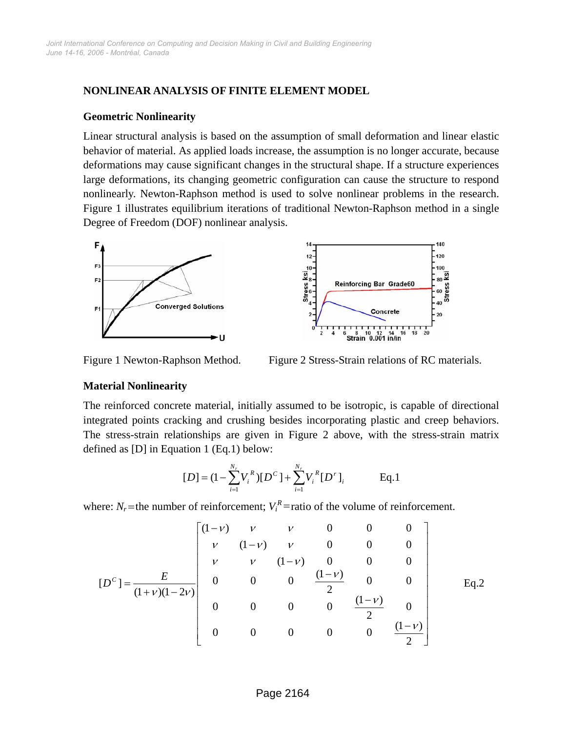## **NONLINEAR ANALYSIS OF FINITE ELEMENT MODEL**

#### **Geometric Nonlinearity**

Linear structural analysis is based on the assumption of small deformation and linear elastic behavior of material. As applied loads increase, the assumption is no longer accurate, because deformations may cause significant changes in the structural shape. If a structure experiences large deformations, its changing geometric configuration can cause the structure to respond nonlinearly. Newton-Raphson method is used to solve nonlinear problems in the research. Figure 1 illustrates equilibrium iterations of traditional Newton-Raphson method in a single Degree of Freedom (DOF) nonlinear analysis.



Figure 1 Newton-Raphson Method. Figure 2 Stress-Strain relations of RC materials.

## **Material Nonlinearity**

The reinforced concrete material, initially assumed to be isotropic, is capable of directional integrated points cracking and crushing besides incorporating plastic and creep behaviors. The stress-strain relationships are given in Figure 2 above, with the stress-strain matrix defined as [D] in Equation 1 (Eq.1) below:

$$
[D] = (1 - \sum_{i=1}^{N_r} V_i^R) [D^C] + \sum_{i=1}^{N_r} V_i^R [D^r]_i
$$
 Eq.1

where:  $N_r$  = the number of reinforcement;  $V_i^R$  = ratio of the volume of reinforcement.

$$
[D^{c}] = \frac{E}{(1+v)(1-2v)} \begin{bmatrix} (1-v) & v & v & 0 & 0 & 0 \\ v & (1-v) & v & 0 & 0 & 0 \\ v & v & (1-v) & 0 & 0 & 0 \\ 0 & 0 & 0 & \frac{(1-v)}{2} & 0 & 0 \\ 0 & 0 & 0 & 0 & \frac{(1-v)}{2} & 0 \\ 0 & 0 & 0 & 0 & 0 & \frac{(1-v)}{2} \end{bmatrix}
$$
 Eq.2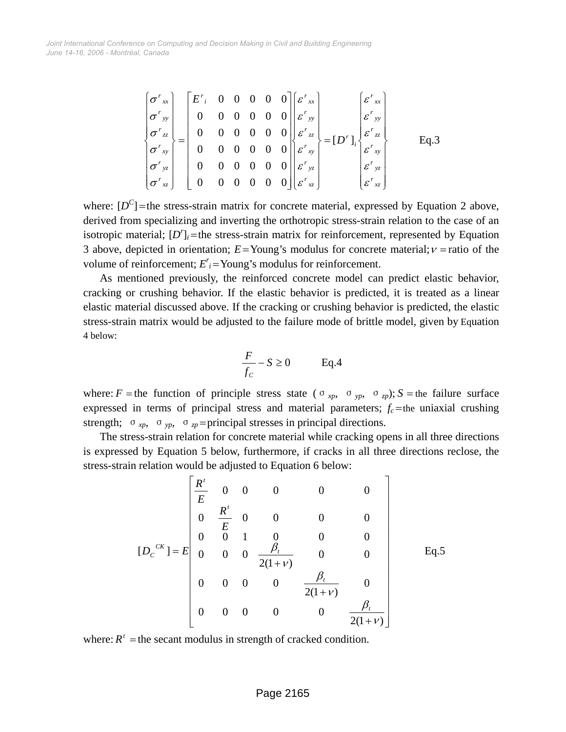$$
\begin{bmatrix}\n\sigma^{r}_{xx} \\
\sigma^{r}_{yy} \\
\sigma^{r}_{zz} \\
\sigma^{r}_{xy} \\
\sigma^{r}_{yz} \\
\sigma^{r}_{xz} \\
\sigma^{r}_{xz} \\
\sigma^{r}_{xz}\n\end{bmatrix} = \begin{bmatrix}\nE^{r}_{i} & 0 & 0 & 0 & 0 & 0 \\
0 & 0 & 0 & 0 & 0 & 0 \\
0 & 0 & 0 & 0 & 0 & 0 \\
0 & 0 & 0 & 0 & 0 & 0 \\
0 & 0 & 0 & 0 & 0 & 0 \\
0 & 0 & 0 & 0 & 0 & 0 \\
0 & 0 & 0 & 0 & 0 & 0\n\end{bmatrix} \begin{bmatrix}\n\varepsilon^{r}_{xx} \\
\varepsilon^{r}_{yy} \\
\varepsilon^{r}_{zz} \\
\varepsilon^{r}_{xy} \\
\varepsilon^{r}_{yz} \\
\varepsilon^{r}_{yz} \\
\varepsilon^{r}_{xz}\n\end{bmatrix} = [D^{r}]_{i} \begin{bmatrix}\n\varepsilon^{r}_{xx} \\
\varepsilon^{r}_{xy} \\
\varepsilon^{r}_{xy} \\
\varepsilon^{r}_{yz} \\
\varepsilon^{r}_{xz} \\
\varepsilon^{r}_{xz}\n\end{bmatrix} \qquad \text{Eq.3}
$$

where:  $[D<sup>C</sup>]$  = the stress-strain matrix for concrete material, expressed by Equation 2 above, derived from specializing and inverting the orthotropic stress-strain relation to the case of an isotropic material;  $[D<sup>r</sup>]$ <sub>*i*</sub> =the stress-strain matrix for reinforcement, represented by Equation 3 above, depicted in orientation;  $E =$ Young's modulus for concrete material;  $v =$ ratio of the volume of reinforcement;  $E_i^r =$ Young's modulus for reinforcement.

As mentioned previously, the reinforced concrete model can predict elastic behavior, cracking or crushing behavior. If the elastic behavior is predicted, it is treated as a linear elastic material discussed above. If the cracking or crushing behavior is predicted, the elastic stress-strain matrix would be adjusted to the failure mode of brittle model, given by Equation 4 below:

$$
\frac{F}{f_c} - S \ge 0 \qquad \text{Eq.4}
$$

where: *F* = the function of principle stress state ( $\sigma_{xp}$ ,  $\sigma_{yp}$ ,  $\sigma_{zp}$ ); *S* = the failure surface expressed in terms of principal stress and material parameters;  $f_c$  =the uniaxial crushing strength;  $\sigma_{xp}$ ,  $\sigma_{yp}$ ,  $\sigma_{zp}$  =principal stresses in principal directions.

The stress-strain relation for concrete material while cracking opens in all three directions is expressed by Equation 5 below, furthermore, if cracks in all three directions reclose, the stress-strain relation would be adjusted to Equation 6 below:

$$
[D_{c}^{CK}] = E \begin{bmatrix} \frac{R'}{E} & 0 & 0 & 0 & 0 & 0 \\ 0 & \frac{R'}{E} & 0 & 0 & 0 & 0 \\ 0 & 0 & 1 & 0 & 0 & 0 \\ 0 & 0 & 0 & \frac{\beta_{t}}{2(1+\nu)} & 0 & 0 \\ 0 & 0 & 0 & 0 & \frac{\beta_{t}}{2(1+\nu)} & 0 \\ 0 & 0 & 0 & 0 & 0 & \frac{\beta_{t}}{2(1+\nu)} \end{bmatrix}
$$
 Eq.5

where:  $R^t$  = the secant modulus in strength of cracked condition.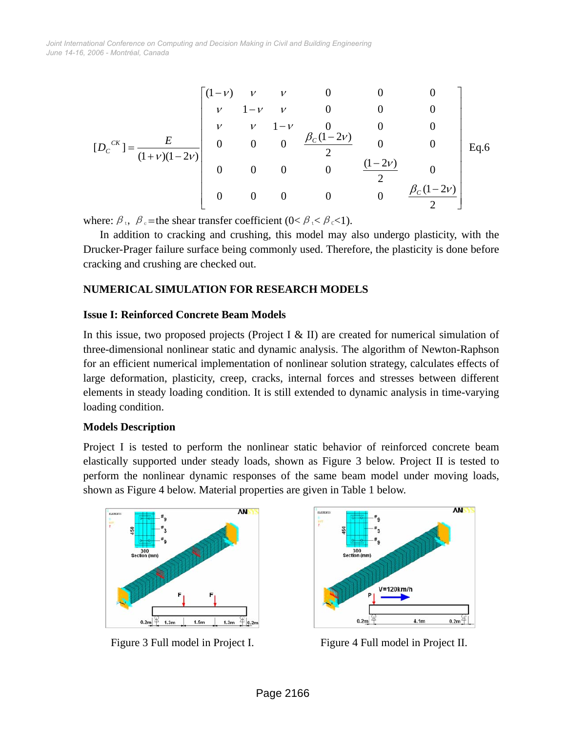$$
[D_{c}^{CK}] = \frac{E}{(1+\nu)(1-2\nu)} \begin{bmatrix} (1-\nu) & \nu & \nu & 0 & 0 & 0 \\ \nu & 1-\nu & \nu & 0 & 0 & 0 \\ \nu & \nu & 1-\nu & 0 & 0 & 0 \\ 0 & 0 & 0 & \frac{\beta_{c}(1-2\nu)}{2} & 0 & 0 \\ 0 & 0 & 0 & 0 & \frac{(1-2\nu)}{2} & 0 \\ 0 & 0 & 0 & 0 & 0 & \frac{\beta_{c}(1-2\nu)}{2} \end{bmatrix} \text{Eq.6}
$$

where:  $\beta_t$ ,  $\beta_c$  = the shear transfer coefficient (0<  $\beta_t$  <  $\beta_c$  < 1).

In addition to cracking and crushing, this model may also undergo plasticity, with the Drucker-Prager failure surface being commonly used. Therefore, the plasticity is done before cracking and crushing are checked out.

## **NUMERICAL SIMULATION FOR RESEARCH MODELS**

#### **Issue I: Reinforced Concrete Beam Models**

In this issue, two proposed projects (Project I & II) are created for numerical simulation of three-dimensional nonlinear static and dynamic analysis. The algorithm of Newton-Raphson for an efficient numerical implementation of nonlinear solution strategy, calculates effects of large deformation, plasticity, creep, cracks, internal forces and stresses between different elements in steady loading condition. It is still extended to dynamic analysis in time-varying loading condition.

#### **Models Description**

Project I is tested to perform the nonlinear static behavior of reinforced concrete beam elastically supported under steady loads, shown as Figure 3 below. Project II is tested to perform the nonlinear dynamic responses of the same beam model under moving loads, shown as Figure 4 below. Material properties are given in Table 1 below.





Figure 3 Full model in Project I. Figure 4 Full model in Project II.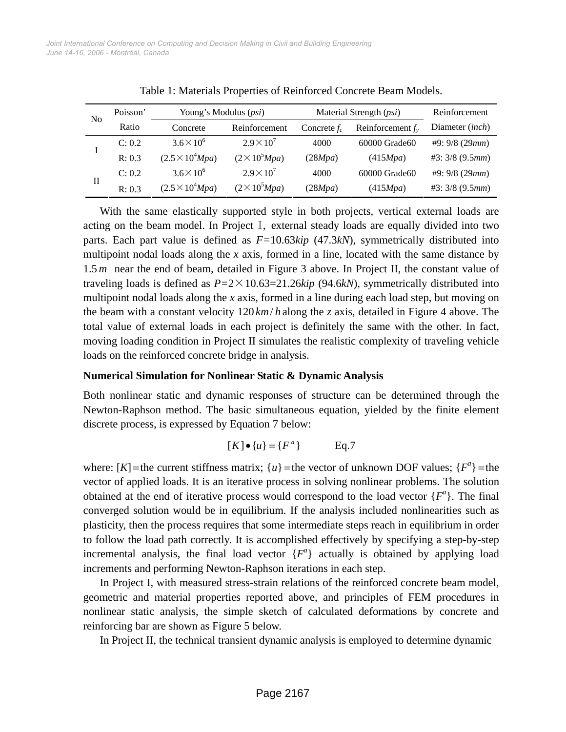| N <sub>0</sub> | Poisson' | Young's Modulus ( <i>psi</i> ) |                       | Material Strength (psi) |                     | Reinforcement   |
|----------------|----------|--------------------------------|-----------------------|-------------------------|---------------------|-----------------|
|                | Ratio    | Concrete                       | Reinforcement         | Concrete $f_c$          | Reinforcement $f_v$ | Diameter (inch) |
|                | C: 0.2   | $3.6\times10^{6}$              | $2.9 \times 10^{7}$   | 4000                    | 60000 Grade60       | #9:9/8(29mm)    |
|                | R: 0.3   | $(2.5 \times 10^4 Mpa)$        | $(2 \times 10^5 Mpa)$ | (28Mpa)                 | (415Mpa)            | #3: 3/8 (9.5mm) |
| П              | C: 0.2   | $3.6 \times 10^{6}$            | $2.9\times10^7$       | 4000                    | 60000 Grade60       | #9:9/8(29mm)    |
|                | R: 0.3   | $(2.5 \times 10^4 Mpa)$        | $(2 \times 10^5 Mpa)$ | (28Mpa)                 | (415Mpa)            | #3: 3/8 (9.5mm) |

Table 1: Materials Properties of Reinforced Concrete Beam Models.

With the same elastically supported style in both projects, vertical external loads are acting on the beam model. In Project I, external steady loads are equally divided into two parts. Each part value is defined as *F=*10.63*kip* (47.3*kN*), symmetrically distributed into multipoint nodal loads along the *x* axis, formed in a line, located with the same distance by 1.5 *m* near the end of beam, detailed in Figure 3 above. In Project II, the constant value of traveling loads is defined as *P=*2×10.63=21.26*kip* (94.6*kN*), symmetrically distributed into multipoint nodal loads along the *x* axis, formed in a line during each load step, but moving on the beam with a constant velocity  $120 \, \text{km/h}$  along the *z* axis, detailed in Figure 4 above. The total value of external loads in each project is definitely the same with the other. In fact, moving loading condition in Project II simulates the realistic complexity of traveling vehicle loads on the reinforced concrete bridge in analysis.

#### **Numerical Simulation for Nonlinear Static & Dynamic Analysis**

Both nonlinear static and dynamic responses of structure can be determined through the Newton-Raphson method. The basic simultaneous equation, yielded by the finite element discrete process, is expressed by Equation 7 below:

$$
[K] \bullet \{u\} = \{F^a\} \qquad \text{Eq.7}
$$

where:  $[K]$  =the current stiffness matrix;  $\{u\}$  =the vector of unknown DOF values;  $\{F^a\}$  =the vector of applied loads. It is an iterative process in solving nonlinear problems. The solution obtained at the end of iterative process would correspond to the load vector  ${F^a}$ . The final converged solution would be in equilibrium. If the analysis included nonlinearities such as plasticity, then the process requires that some intermediate steps reach in equilibrium in order to follow the load path correctly. It is accomplished effectively by specifying a step-by-step incremental analysis, the final load vector  ${F^a}$  actually is obtained by applying load increments and performing Newton-Raphson iterations in each step.

In Project I, with measured stress-strain relations of the reinforced concrete beam model, geometric and material properties reported above, and principles of FEM procedures in nonlinear static analysis, the simple sketch of calculated deformations by concrete and reinforcing bar are shown as Figure 5 below.

In Project II, the technical transient dynamic analysis is employed to determine dynamic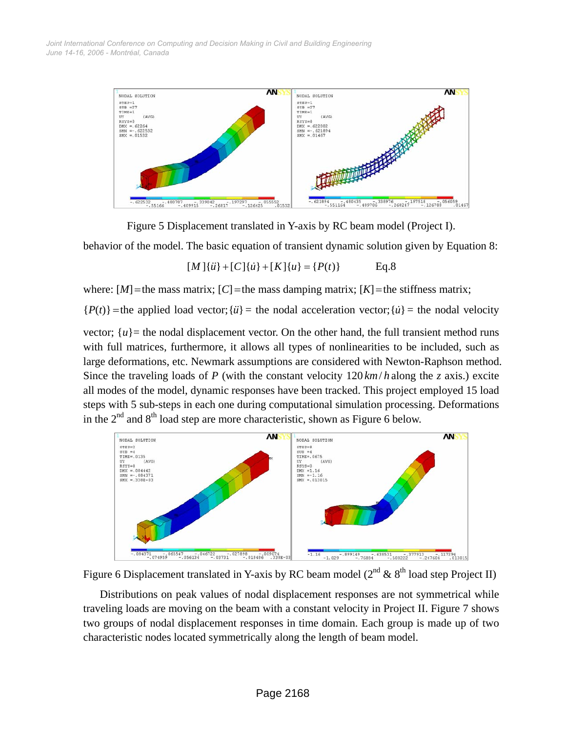

Figure 5 Displacement translated in Y-axis by RC beam model (Project I).

behavior of the model. The basic equation of transient dynamic solution given by Equation 8:

$$
[M]\{\ddot{u}\} + [C]\{\dot{u}\} + [K]\{u\} = \{P(t)\} \qquad \text{Eq.8}
$$

where:  $[M]$  = the mass matrix;  $[C]$  = the mass damping matrix;  $[K]$  = the stiffness matrix;

 ${P(t)}$  = the applied load vector; { $\ddot{u}$ } = the nodal acceleration vector; { $\ddot{u}$ } = the nodal velocity

vector;  $\{u\}$  = the nodal displacement vector. On the other hand, the full transient method runs with full matrices, furthermore, it allows all types of nonlinearities to be included, such as large deformations, etc. Newmark assumptions are considered with Newton-Raphson method. Since the traveling loads of *P* (with the constant velocity  $120 \, \text{km/h}$  along the *z* axis.) excite all modes of the model, dynamic responses have been tracked. This project employed 15 load steps with 5 sub-steps in each one during computational simulation processing. Deformations in the  $2<sup>nd</sup>$  and  $8<sup>th</sup>$  load step are more characteristic, shown as Figure 6 below.





Distributions on peak values of nodal displacement responses are not symmetrical while traveling loads are moving on the beam with a constant velocity in Project II. Figure 7 shows two groups of nodal displacement responses in time domain. Each group is made up of two characteristic nodes located symmetrically along the length of beam model.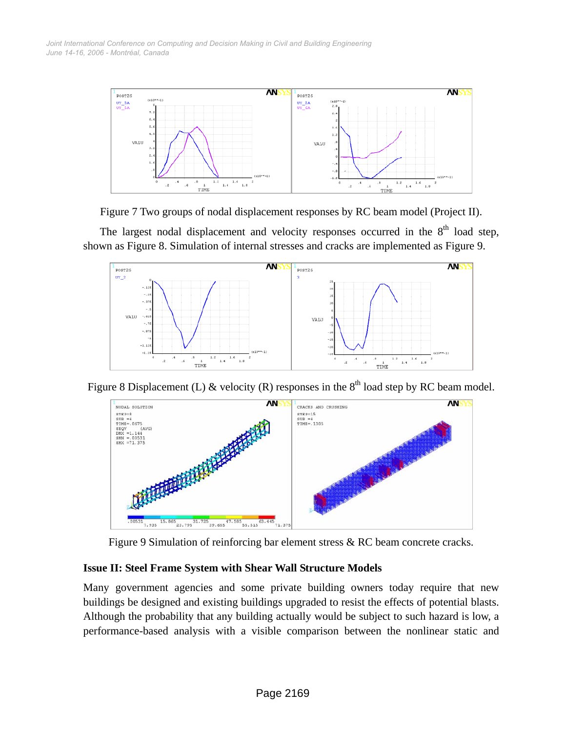



The largest nodal displacement and velocity responses occurred in the  $8<sup>th</sup>$  load step, shown as Figure 8. Simulation of internal stresses and cracks are implemented as Figure 9.



Figure 8 Displacement (L) & velocity (R) responses in the  $8<sup>th</sup>$  load step by RC beam model.



Figure 9 Simulation of reinforcing bar element stress & RC beam concrete cracks.

## **Issue II: Steel Frame System with Shear Wall Structure Models**

Many government agencies and some private building owners today require that new buildings be designed and existing buildings upgraded to resist the effects of potential blasts. Although the probability that any building actually would be subject to such hazard is low, a performance-based analysis with a visible comparison between the nonlinear static and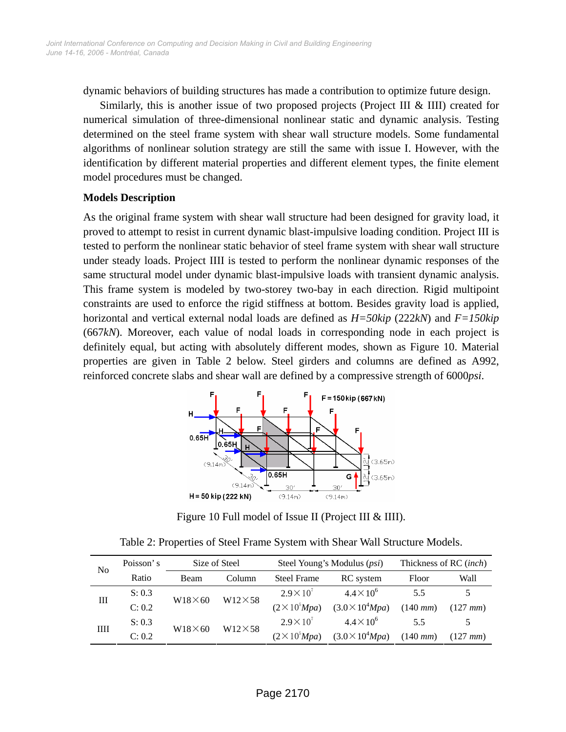dynamic behaviors of building structures has made a contribution to optimize future design.

Similarly, this is another issue of two proposed projects (Project III & IIII) created for numerical simulation of three-dimensional nonlinear static and dynamic analysis. Testing determined on the steel frame system with shear wall structure models. Some fundamental algorithms of nonlinear solution strategy are still the same with issue I. However, with the identification by different material properties and different element types, the finite element model procedures must be changed.

#### **Models Description**

As the original frame system with shear wall structure had been designed for gravity load, it proved to attempt to resist in current dynamic blast-impulsive loading condition. Project III is tested to perform the nonlinear static behavior of steel frame system with shear wall structure under steady loads. Project IIII is tested to perform the nonlinear dynamic responses of the same structural model under dynamic blast-impulsive loads with transient dynamic analysis. This frame system is modeled by two-storey two-bay in each direction. Rigid multipoint constraints are used to enforce the rigid stiffness at bottom. Besides gravity load is applied, horizontal and vertical external nodal loads are defined as *H=50kip* (222*kN*) and *F=150kip*  (667*kN*). Moreover, each value of nodal loads in corresponding node in each project is definitely equal, but acting with absolutely different modes, shown as Figure 10. Material properties are given in Table 2 below. Steel girders and columns are defined as A992, reinforced concrete slabs and shear wall are defined by a compressive strength of 6000*psi*.



Figure 10 Full model of Issue II (Project III & IIII).

|  | Table 2: Properties of Steel Frame System with Shear Wall Structure Models. |  |
|--|-----------------------------------------------------------------------------|--|
|--|-----------------------------------------------------------------------------|--|

| No | Poisson's | Size of Steel  |                | Steel Young's Modulus ( <i>psi</i> ) |                         | Thickness of RC (inch) |               |
|----|-----------|----------------|----------------|--------------------------------------|-------------------------|------------------------|---------------|
|    | Ratio     | <b>Beam</b>    | Column         | <b>Steel Frame</b>                   | RC system               | Floor                  | Wall          |
| Ш  | S: 0.3    | $W18\times 60$ | $W12\times 58$ | $2.9\times10^{7}$                    | $4.4 \times 10^{6}$     | 5.5                    |               |
|    | C: 0.2    |                |                | $(2 \times 10^5 Mpa)$                | $(3.0 \times 10^4 Mpa)$ | $(140 \, mm)$          | $(127 \, mm)$ |
| Ш  | S: 0.3    |                | $W12\times 58$ | $2.9\times10^{7}$                    | $4.4 \times 10^{6}$     | 55                     |               |
|    | C: 0.2    | $W18\times 60$ |                | $(2 \times 10^5 Mpa)$                | $(3.0 \times 10^4 Mpa)$ | $(140 \, mm)$          | $(127 \, mm)$ |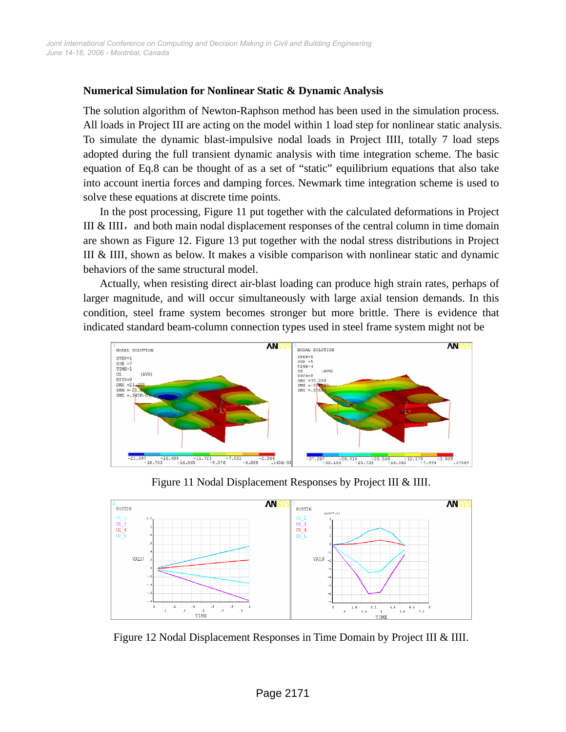#### **Numerical Simulation for Nonlinear Static & Dynamic Analysis**

The solution algorithm of Newton-Raphson method has been used in the simulation process. All loads in Project III are acting on the model within 1 load step for nonlinear static analysis. To simulate the dynamic blast-impulsive nodal loads in Project IIII, totally 7 load steps adopted during the full transient dynamic analysis with time integration scheme. The basic equation of Eq.8 can be thought of as a set of "static" equilibrium equations that also take into account inertia forces and damping forces. Newmark time integration scheme is used to solve these equations at discrete time points.

In the post processing, Figure 11 put together with the calculated deformations in Project III  $&$  IIII, and both main nodal displacement responses of the central column in time domain are shown as Figure 12. Figure 13 put together with the nodal stress distributions in Project III & IIII, shown as below. It makes a visible comparison with nonlinear static and dynamic behaviors of the same structural model.

Actually, when resisting direct air-blast loading can produce high strain rates, perhaps of larger magnitude, and will occur simultaneously with large axial tension demands. In this condition, steel frame system becomes stronger but more brittle. There is evidence that indicated standard beam-column connection types used in steel frame system might not be



Figure 11 Nodal Displacement Responses by Project III & IIII.